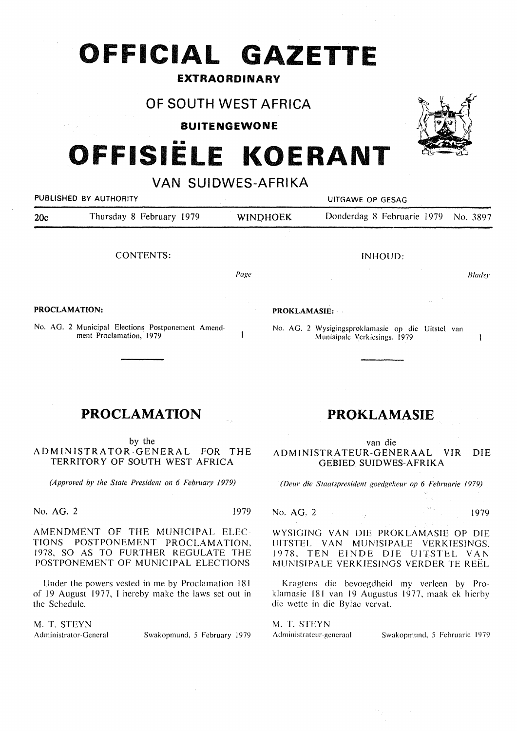## **OFFICIAL GAZETTE**

### **EXTRAORDINARY**

## **OF SOUTH WEST AFRICA**

**BUITENGEWONE** 

# **OFFISIELE KOERANT**

## **VAN SUIDWES-AFRIKA**



No. AG. 2 Municipal Elections Postponement Amendment Proclamation, 1979

## **PROCLAMATION**

by the

ADMINISTRATOR-GENERAL FOR THE TERRITORY OF SOUTH WEST AFRICA

*(Approved by the State President on 6 February 1979)* 

No. AG. 2 1979

 $\mathbf{I}$ 

AMENDMENT OF THE MUNICIPAL ELEC-TIONS POSTPONEMENT PROCLAMATION, 1978, SO AS TO FURTHER REGULATE THE POSTPONEMENT OF MUNICIPAL ELECTIONS

Under the powers vested in me by Proclamation 181 of 19 August 1977, I hereby make the laws set out in the Schedule.

**M. T. STEYN** 

Administrator-General Swakopmund, 5 February 1979

## **PROKLAMASIE**

No. AG. 2 Wysigingsproklamasic op die Uitstcl van Munisipalc Verkiesings, 1979

van die ADMINISTRATEUR-GENERAAL VIR DIE GEBIED SUIDWES-AFRIKA

*(Deur die Staatspresident goedgekeur op 6 Februarie 1979)* 

No. AG. 2 1979

 $\mathbf{I}$ 

WYSIGING VAN DIE PROKLAMASIE OP DIE UITSTEL VAN MUNISIPALE VERKIESINGS, 1978. TEN EINDE DIE UITSTEL VAN MUNISIPALE VERKIESINGS VERDER TE REEL

Kragtens dje bevoegdheid my verleen by Proklamasie 181 van 19 Augustus 1977, maak ek hierby die wette in die Bylae vervat.

M. T. STEYN

Administrateur-gcneraal Swakopmund, 5 Februarie 1979

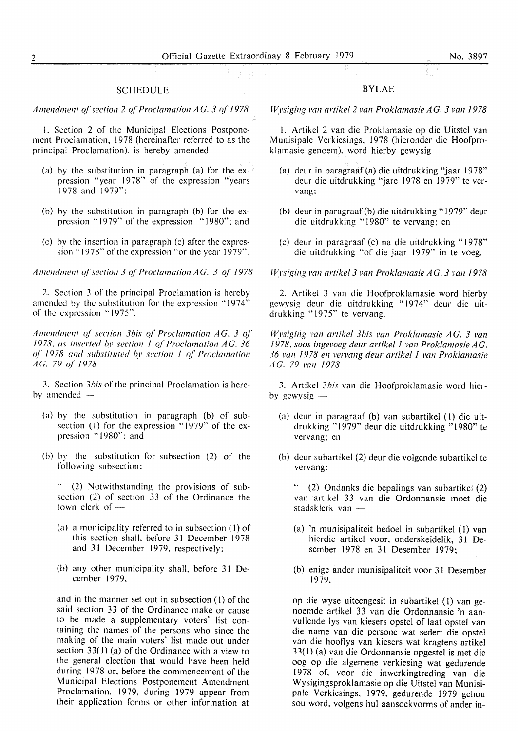#### SCHEDULE

Amendment of section 2 of Proclamation AG. 3 of 1978

I. Section 2 of the Municipal Elections Postponement Proclamation, 1978 (hereinafter referred to as the principal Proclamation), is hereby amended -

- (a) by the substitution in paragraph (a) for the expression "year 1978" of the expression "years" 1978 and 1979";
- (b) by the substitution in paragraph (b) for the expression "1979" of the expression "1980"; and
- (c) by the insertion in paragraph (c) after the expression "1978" of the expression "or the year 1979".

*Amendment of section 3 of Proclamation AG. 3 of 1978* 

2. Section 3 of the principal Proclamation is hereby amended by the substitution for the expression "1974" of the expression "1975".

Amendment of section 3bis of Proclamation AG. 3 of *I* 978, as inserted by section *I* of Proclamation AG. 36 of 1978 and substituted by section 1 of Proclamation AG. *79 q( /978* 

3. Section *3his* of the principal Proclamation is hereby amended

- (a) by the substitution in paragraph (b) of subsection (1) for the expression "1979" of the expression "1980"; and
- (b) by the substitution for subsection (2) of the following subsection:

" (2) Notwithstanding the provisions of subsection (2) of section 33 of the Ordinance the town clerk of  $-$ 

- (a) a municipality referred to in subsection (I) of this section shall, before 31 December 1978 and 31 December 1979, respectively:
- (b) any other municipality shall, before 31 December 1979,

and in the manner set out in subsection (I) of the said section 33 of the Ordinance make or cause to be made a supplementary voters' list containing the names of the persons who since the making of the main voters' list made out under section  $33(1)$  (a) of the Ordinance with a view to the general election that would have been held during 1978 or, before the commencement of the Municipal Elections Postponement Amendment Proclamation, 1979, during 1979 appear from their application forms or other information at

#### BYLAE

*Wysiging van artikel 2 van Proklamasie AG. 3 van 1978* 

I. Artikel 2 van die Proklamasie op die Uitstel van Munisipale Verkiesings, 1978 (hieronder die Hoofproklamasie genoem), word hierby gewysig  $-$ 

- (a) deur in paragraaf (a) die uitdrukking "jaar 1978" deur die uitdrukking "jare 1978 en 1979" te vervang;
- (b) deur in paragraaf(b) die uitdrukking "1979" deur die uitdrukking "1980" te vervang; en
- (c) deur in paragraaf (c) na die uitdrukking "1978" die uitdrukking "of die jaar 1979" in te voeg.

*IVysiging van artikel 3 van Proklamasie AG. 3 van 1978* 

2. Artikel 3 van die Hoofproklamasie word hierby gewysig deur die uitdrukking "1974" deur die uitdrukking "1975" te vervang.

*Wysiging van artikel 3bis van Proklamasie AG. 3 van 1978, soos ingevoeg deur artikel l van Proklamasie AG. 36 Pan 1978 en vervang deur artikel l van Proklamasie AG. 79 Pan 1978* 

3. Artikel *3bis* van die Hoofproklamasie word hierby gewysig  $-$ 

- (a) deur in paragraaf (b) van subartikel (I) die uitdrukking "1979" deur die uitdrukking "1980" te vervang: en
- (b) deur subartikel (2) deur die volgende subartikel te vervang:

" (2) Ondanks die bepalings van subartikel (2) van artikel 33 van die Ordonnansie moet die stadsklerk van -

- (a) 'n munisipaliteit bedoel in subartikel (I) van hierdie artikel voor, onderskeidelik, 31 Desember 1978 en 31 Desember 1979;
- (b) enige ander munisipaliteit voor 31 Desember 1979,

op die wyse uiteengesit in subartikel (I) van genoemde artikel 33 van die Ordonnansie 'n aanvullende lys van kiesers opstel of laat opstel van die name van die persone wat sedert die opstel van die hootlys van kiesers wat kragtens artikel 33( I) (a) van die Ordonnansie opgestel is met die oog op die algemene verkiesing wat gedurende 1978 of, voor die inwerkingtreding van die Wysigingsproklamasie op die Uitstel van Munisipale Verkiesings, 1979, gedurende 1979 gehou sou word, volgens hul aansoekvorms of ander in